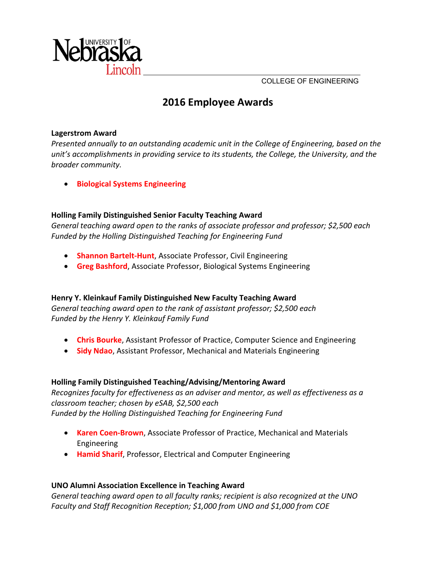

COLLEGE OF ENGINEERING

# **2016 Employee Awards**

#### **Lagerstrom Award**

*Presented annually to an outstanding academic unit in the College of Engineering, based on the unit's accomplishments in providing service to its students, the College, the University, and the broader community.*

**Biological Systems Engineering**

### **Holling Family Distinguished Senior Faculty Teaching Award**

*General teaching award open to the ranks of associate professor and professor; \$2,500 each Funded by the Holling Distinguished Teaching for Engineering Fund*

- **Shannon Bartelt‐Hunt**, Associate Professor, Civil Engineering
- **Greg Bashford**, Associate Professor, Biological Systems Engineering

#### **Henry Y. Kleinkauf Family Distinguished New Faculty Teaching Award**

*General teaching award open to the rank of assistant professor; \$2,500 each Funded by the Henry Y. Kleinkauf Family Fund*

- **Chris Bourke**, Assistant Professor of Practice, Computer Science and Engineering
- **Sidy Ndao**, Assistant Professor, Mechanical and Materials Engineering

#### **Holling Family Distinguished Teaching/Advising/Mentoring Award**

*Recognizes faculty for effectiveness as an adviser and mentor, as well as effectiveness as a classroom teacher; chosen by eSAB, \$2,500 each Funded by the Holling Distinguished Teaching for Engineering Fund*

- **Karen Coen‐Brown**, Associate Professor of Practice, Mechanical and Materials Engineering
- **Hamid Sharif**, Professor, Electrical and Computer Engineering

#### **UNO Alumni Association Excellence in Teaching Award**

*General teaching award open to all faculty ranks; recipient is also recognized at the UNO Faculty and Staff Recognition Reception; \$1,000 from UNO and \$1,000 from COE*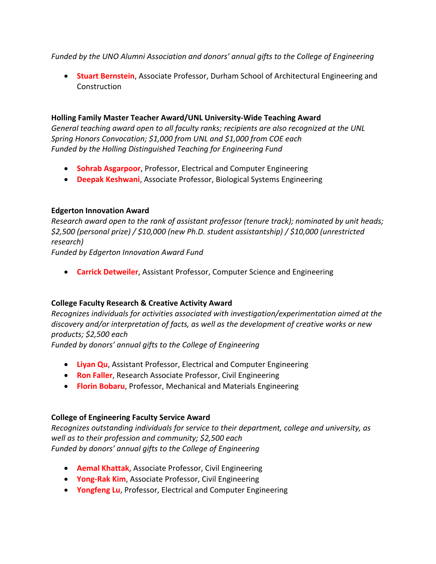*Funded by the UNO Alumni Association and donors' annual gifts to the College of Engineering*

 **Stuart Bernstein**, Associate Professor, Durham School of Architectural Engineering and Construction

# **Holling Family Master Teacher Award/UNL University‐Wide Teaching Award**

*General teaching award open to all faculty ranks; recipients are also recognized at the UNL Spring Honors Convocation; \$1,000 from UNL and \$1,000 from COE each Funded by the Holling Distinguished Teaching for Engineering Fund*

- **Sohrab Asgarpoor**, Professor, Electrical and Computer Engineering
- **Deepak Keshwani**, Associate Professor, Biological Systems Engineering

# **Edgerton Innovation Award**

*Research award open to the rank of assistant professor (tenure track); nominated by unit heads; \$2,500 (personal prize) / \$10,000 (new Ph.D. student assistantship) / \$10,000 (unrestricted research)* 

*Funded by Edgerton Innovation Award Fund*

**Carrick Detweiler**, Assistant Professor, Computer Science and Engineering

# **College Faculty Research & Creative Activity Award**

*Recognizes individuals for activities associated with investigation/experimentation aimed at the discovery and/or interpretation of facts, as well as the development of creative works or new products; \$2,500 each*

*Funded by donors' annual gifts to the College of Engineering*

- **Liyan Qu**, Assistant Professor, Electrical and Computer Engineering
- **Ron Faller**, Research Associate Professor, Civil Engineering
- **Florin Bobaru**, Professor, Mechanical and Materials Engineering

# **College of Engineering Faculty Service Award**

*Recognizes outstanding individuals for service to their department, college and university, as well as to their profession and community; \$2,500 each Funded by donors' annual gifts to the College of Engineering*

- **Aemal Khattak**, Associate Professor, Civil Engineering
- **Yong‐Rak Kim**, Associate Professor, Civil Engineering
- **Yongfeng Lu**, Professor, Electrical and Computer Engineering